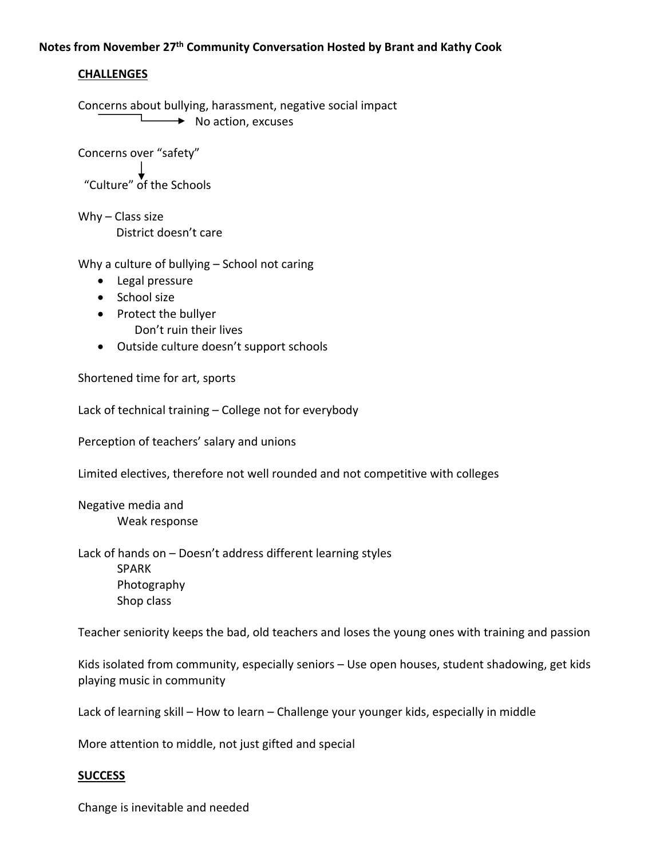## **Notes from November 27th Community Conversation Hosted by Brant and Kathy Cook**

## **CHALLENGES**

Concerns about bullying, harassment, negative social impact  $\rightarrow$  No action, excuses

Concerns over "safety"

"Culture" of the Schools

Why – Class size District doesn't care

Why a culture of bullying – School not caring

- Legal pressure
- School size
- Protect the bullyer
	- Don't ruin their lives
- Outside culture doesn't support schools

Shortened time for art, sports

Lack of technical training – College not for everybody

Perception of teachers' salary and unions

Limited electives, therefore not well rounded and not competitive with colleges

Negative media and Weak response

Lack of hands on – Doesn't address different learning styles SPARK Photography Shop class

Teacher seniority keeps the bad, old teachers and loses the young ones with training and passion

Kids isolated from community, especially seniors – Use open houses, student shadowing, get kids playing music in community

Lack of learning skill – How to learn – Challenge your younger kids, especially in middle

More attention to middle, not just gifted and special

## **SUCCESS**

Change is inevitable and needed